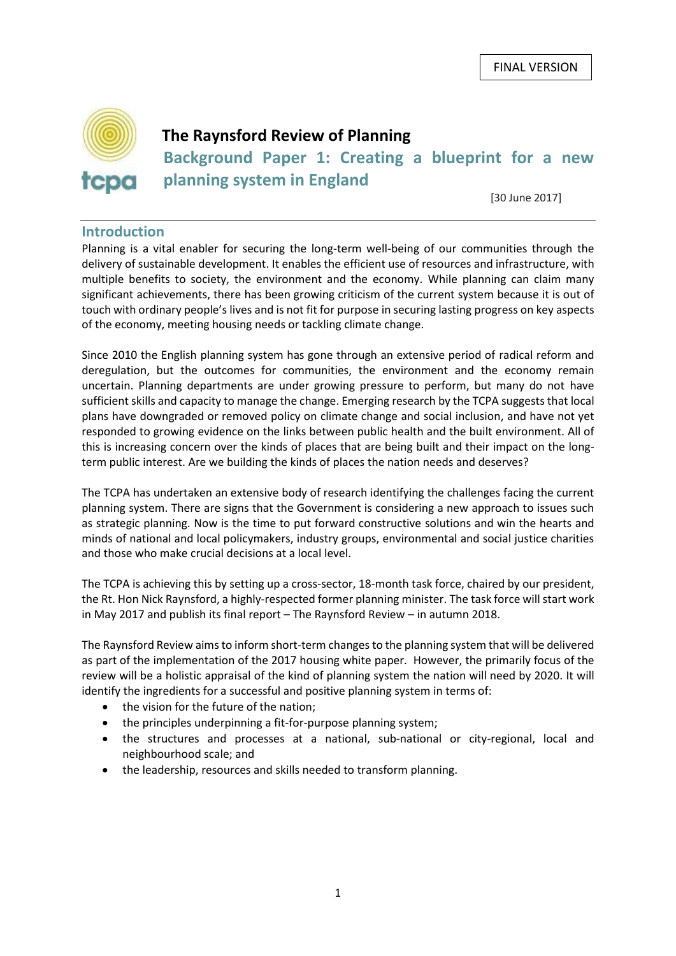

# **The Raynsford Review of Planning**

**Background Paper 1: Creating a blueprint for a new planning system in England**

[30 June 2017]

#### **Introduction**

Planning is a vital enabler for securing the long-term well-being of our communities through the delivery of sustainable development. It enables the efficient use of resources and infrastructure, with multiple benefits to society, the environment and the economy. While planning can claim many significant achievements, there has been growing criticism of the current system because it is out of touch with ordinary people's lives and is not fit for purpose in securing lasting progress on key aspects of the economy, meeting housing needs or tackling climate change.

Since 2010 the English planning system has gone through an extensive period of radical reform and deregulation, but the outcomes for communities, the environment and the economy remain uncertain. Planning departments are under growing pressure to perform, but many do not have sufficient skills and capacity to manage the change. Emerging research by the TCPA suggests that local plans have downgraded or removed policy on climate change and social inclusion, and have not yet responded to growing evidence on the links between public health and the built environment. All of this is increasing concern over the kinds of places that are being built and their impact on the longterm public interest. Are we building the kinds of places the nation needs and deserves?

The TCPA has undertaken an extensive body of research identifying the challenges facing the current planning system. There are signs that the Government is considering a new approach to issues such as strategic planning. Now is the time to put forward constructive solutions and win the hearts and minds of national and local policymakers, industry groups, environmental and social justice charities and those who make crucial decisions at a local level.

The TCPA is achieving this by setting up a cross-sector, 18-month task force, chaired by our president, the Rt. Hon Nick Raynsford, a highly-respected former planning minister. The task force will start work in May 2017 and publish its final report – The Raynsford Review – in autumn 2018.

The Raynsford Review aimsto inform short-term changesto the planning system that will be delivered as part of the implementation of the 2017 housing white paper. However, the primarily focus of the review will be a holistic appraisal of the kind of planning system the nation will need by 2020. It will identify the ingredients for a successful and positive planning system in terms of:

- the vision for the future of the nation;
- the principles underpinning a fit-for-purpose planning system;
- the structures and processes at a national, sub-national or city-regional, local and neighbourhood scale; and
- the leadership, resources and skills needed to transform planning.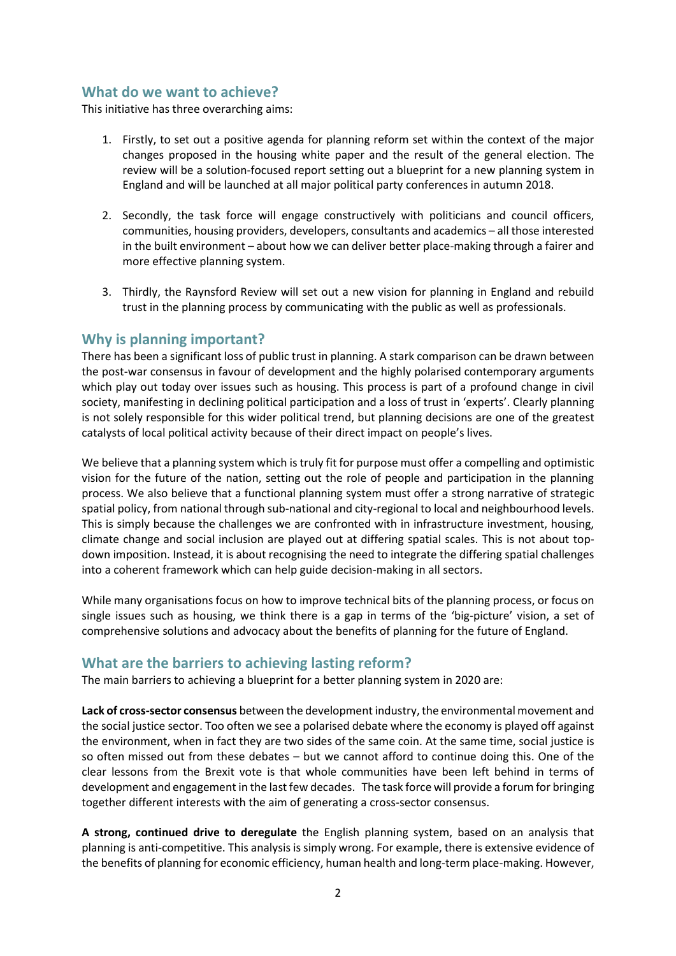## **What do we want to achieve?**

This initiative has three overarching aims:

- 1. Firstly, to set out a positive agenda for planning reform set within the context of the major changes proposed in the housing white paper and the result of the general election. The review will be a solution-focused report setting out a blueprint for a new planning system in England and will be launched at all major political party conferences in autumn 2018.
- 2. Secondly, the task force will engage constructively with politicians and council officers, communities, housing providers, developers, consultants and academics – all those interested in the built environment – about how we can deliver better place-making through a fairer and more effective planning system.
- 3. Thirdly, the Raynsford Review will set out a new vision for planning in England and rebuild trust in the planning process by communicating with the public as well as professionals.

#### **Why is planning important?**

There has been a significant loss of public trust in planning. A stark comparison can be drawn between the post-war consensus in favour of development and the highly polarised contemporary arguments which play out today over issues such as housing. This process is part of a profound change in civil society, manifesting in declining political participation and a loss of trust in 'experts'. Clearly planning is not solely responsible for this wider political trend, but planning decisions are one of the greatest catalysts of local political activity because of their direct impact on people's lives.

We believe that a planning system which is truly fit for purpose must offer a compelling and optimistic vision for the future of the nation, setting out the role of people and participation in the planning process. We also believe that a functional planning system must offer a strong narrative of strategic spatial policy, from national through sub-national and city-regional to local and neighbourhood levels. This is simply because the challenges we are confronted with in infrastructure investment, housing, climate change and social inclusion are played out at differing spatial scales. This is not about topdown imposition. Instead, it is about recognising the need to integrate the differing spatial challenges into a coherent framework which can help guide decision-making in all sectors.

While many organisations focus on how to improve technical bits of the planning process, or focus on single issues such as housing, we think there is a gap in terms of the 'big-picture' vision, a set of comprehensive solutions and advocacy about the benefits of planning for the future of England.

## **What are the barriers to achieving lasting reform?**

The main barriers to achieving a blueprint for a better planning system in 2020 are:

**Lack of cross-sector consensus** between the development industry, the environmental movement and the social justice sector. Too often we see a polarised debate where the economy is played off against the environment, when in fact they are two sides of the same coin. At the same time, social justice is so often missed out from these debates – but we cannot afford to continue doing this. One of the clear lessons from the Brexit vote is that whole communities have been left behind in terms of development and engagement in the last few decades. The task force will provide a forum for bringing together different interests with the aim of generating a cross-sector consensus.

**A strong, continued drive to deregulate** the English planning system, based on an analysis that planning is anti-competitive. This analysis is simply wrong. For example, there is extensive evidence of the benefits of planning for economic efficiency, human health and long-term place-making. However,